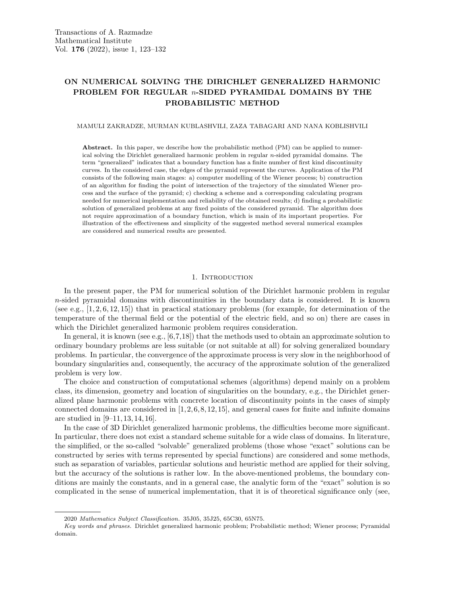# ON NUMERICAL SOLVING THE DIRICHLET GENERALIZED HARMONIC PROBLEM FOR REGULAR n-SIDED PYRAMIDAL DOMAINS BY THE PROBABILISTIC METHOD

### MAMULI ZAKRADZE, MURMAN KUBLASHVILI, ZAZA TABAGARI AND NANA KOBLISHVILI

Abstract. In this paper, we describe how the probabilistic method (PM) can be applied to numerical solving the Dirichlet generalized harmonic problem in regular  $n$ -sided pyramidal domains. The term "generalized" indicates that a boundary function has a finite number of first kind discontinuity curves. In the considered case, the edges of the pyramid represent the curves. Application of the PM consists of the following main stages: a) computer modelling of the Wiener process; b) construction of an algorithm for finding the point of intersection of the trajectory of the simulated Wiener process and the surface of the pyramid; c) checking a scheme and a corresponding calculating program needed for numerical implementation and reliability of the obtained results; d) finding a probabilistic solution of generalized problems at any fixed points of the considered pyramid. The algorithm does not require approximation of a boundary function, which is main of its important properties. For illustration of the effectiveness and simplicity of the suggested method several numerical examples are considered and numerical results are presented.

### 1. INTRODUCTION

In the present paper, the PM for numerical solution of the Dirichlet harmonic problem in regular  $n$ -sided pyramidal domains with discontinuities in the boundary data is considered. It is known (see e.g.,  $[1, 2, 6, 12, 15]$ ) that in practical stationary problems (for example, for determination of the temperature of the thermal field or the potential of the electric field, and so on) there are cases in which the Dirichlet generalized harmonic problem requires consideration.

In general, it is known (see e.g., [6,7,18]) that the methods used to obtain an approximate solution to ordinary boundary problems are less suitable (or not suitable at all) for solving generalized boundary problems. In particular, the convergence of the approximate process is very slow in the neighborhood of boundary singularities and, consequently, the accuracy of the approximate solution of the generalized problem is very low.

The choice and construction of computational schemes (algorithms) depend mainly on a problem class, its dimension, geometry and location of singularities on the boundary, e.g., the Dirichlet generalized plane harmonic problems with concrete location of discontinuity points in the cases of simply connected domains are considered in  $[1, 2, 6, 8, 12, 15]$ , and general cases for finite and infinite domains are studied in [9–11, 13, 14, 16].

In the case of 3D Dirichlet generalized harmonic problems, the difficulties become more significant. In particular, there does not exist a standard scheme suitable for a wide class of domains. In literature, the simplified, or the so-called "solvable" generalized problems (those whose "exact" solutions can be constructed by series with terms represented by special functions) are considered and some methods, such as separation of variables, particular solutions and heuristic method are applied for their solving, but the accuracy of the solutions is rather low. In the above-mentioned problems, the boundary conditions are mainly the constants, and in a general case, the analytic form of the "exact" solution is so complicated in the sense of numerical implementation, that it is of theoretical significance only (see,

<sup>2020</sup> Mathematics Subject Classification. 35J05, 35J25, 65C30, 65N75.

Key words and phrases. Dirichlet generalized harmonic problem; Probabilistic method; Wiener process; Pyramidal domain.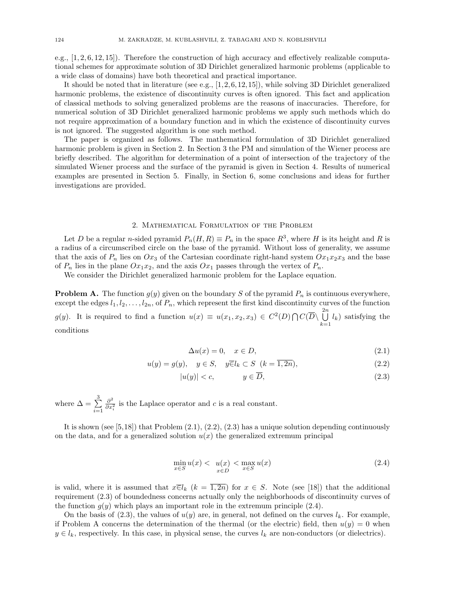e.g., [1, 2, 6, 12, 15]). Therefore the construction of high accuracy and effectively realizable computational schemes for approximate solution of 3D Dirichlet generalized harmonic problems (applicable to a wide class of domains) have both theoretical and practical importance.

It should be noted that in literature (see e.g.,  $[1, 2, 6, 12, 15]$ ), while solving 3D Dirichlet generalized harmonic problems, the existence of discontinuity curves is often ignored. This fact and application of classical methods to solving generalized problems are the reasons of inaccuracies. Therefore, for numerical solution of 3D Dirichlet generalized harmonic problems we apply such methods which do not require approximation of a boundary function and in which the existence of discontinuity curves is not ignored. The suggested algorithm is one such method.

The paper is organized as follows. The mathematical formulation of 3D Dirichlet generalized harmonic problem is given in Section 2. In Section 3 the PM and simulation of the Wiener process are briefly described. The algorithm for determination of a point of intersection of the trajectory of the simulated Wiener process and the surface of the pyramid is given in Section 4. Results of numerical examples are presented in Section 5. Finally, in Section 6, some conclusions and ideas for further investigations are provided.

### 2. Mathematical Formulation of the Problem

Let D be a regular n-sided pyramid  $P_n(H, R) \equiv P_n$  in the space  $R^3$ , where H is its height and R is a radius of a circumscribed circle on the base of the pyramid. Without loss of generality, we assume that the axis of  $P_n$  lies on  $Ox_3$  of the Cartesian coordinate right-hand system  $Ox_1x_2x_3$  and the base of  $P_n$  lies in the plane  $Ox_1x_2$ , and the axis  $Ox_1$  passes through the vertex of  $P_n$ .

We consider the Dirichlet generalized harmonic problem for the Laplace equation.

**Problem A.** The function  $g(y)$  given on the boundary S of the pyramid  $P_n$  is continuous everywhere, except the edges  $l_1, l_2, \ldots, l_{2n}$ , of  $P_n$ , which represent the first kind discontinuity curves of the function  $g(y)$ . It is required to find a function  $u(x) \equiv u(x_1, x_2, x_3) \in C^2(D) \cap C(\overline{D}) \bigcup^{2n}$  $\bigcup_{k=1} l_k$ ) satisfying the conditions

$$
\Delta u(x) = 0, \quad x \in D,\tag{2.1}
$$

$$
u(y) = g(y), \quad y \in S, \quad y\overline{\in}l_k \subset S \quad (k = \overline{1, 2n}), \tag{2.2}
$$

$$
|u(y)| < c,\qquad y \in \overline{D},\tag{2.3}
$$

where  $\Delta = \sum^3$  $i=1$  $\partial^2$  $\frac{\partial^2}{\partial x_i^2}$  is the Laplace operator and c is a real constant.

It is shown (see  $[5,18]$ ) that Problem  $(2.1), (2.2), (2.3)$  has a unique solution depending continuously on the data, and for a generalized solution  $u(x)$  the generalized extremum principal

$$
\min_{x \in S} u(x) < u(x) < \max_{x \in D} u(x) \tag{2.4}
$$

is valid, where it is assumed that  $x\in l_k$   $(k = \overline{1, 2n})$  for  $x \in S$ . Note (see [18]) that the additional requirement (2.3) of boundedness concerns actually only the neighborhoods of discontinuity curves of the function  $g(y)$  which plays an important role in the extremum principle (2.4).

On the basis of (2.3), the values of  $u(y)$  are, in general, not defined on the curves  $l_k$ . For example, if Problem A concerns the determination of the thermal (or the electric) field, then  $u(y) = 0$  when  $y \in l_k$ , respectively. In this case, in physical sense, the curves  $l_k$  are non-conductors (or dielectrics).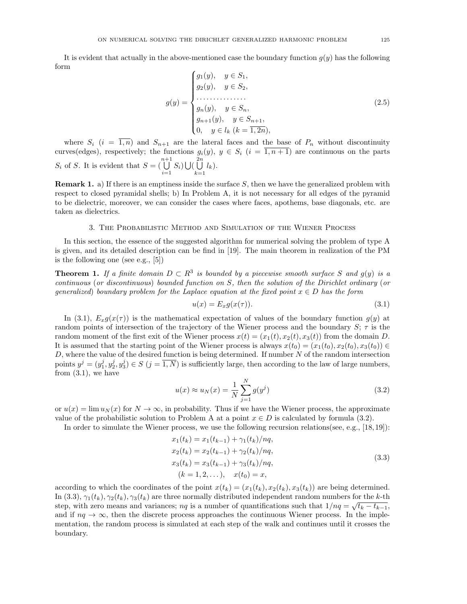It is evident that actually in the above-mentioned case the boundary function  $g(y)$  has the following form

$$
g(y) = \begin{cases} g_1(y), & y \in S_1, \\ g_2(y), & y \in S_2, \\ \dots & \dots & \dots \\ g_n(y), & y \in S_n, \\ g_{n+1}(y), & y \in S_{n+1}, \\ 0, & y \in l_k \ (k = \overline{1, 2n}), \end{cases}
$$
 (2.5)

where  $S_i$   $(i = \overline{1,n})$  and  $S_{n+1}$  are the lateral faces and the base of  $P_n$  without discontinuity curves(edges), respectively; the functions  $g_i(y)$ ,  $y \in S_i$   $(i = \overline{1, n+1})$  are continuous on the parts  $S_i$  of S. It is evident that  $S = (\bigcup^{n+1}$  $\bigcup_{i=1}^{n+1} S_i$   $\bigcup$   $\bigcup_{k=1}^{2n}$  $\bigcup_{k=1} l_k$ .

**Remark 1.** a) If there is an emptiness inside the surface  $S$ , then we have the generalized problem with respect to closed pyramidal shells; b) In Problem A, it is not necessary for all edges of the pyramid to be dielectric, moreover, we can consider the cases where faces, apothems, base diagonals, etc. are taken as dielectrics.

### 3. The Probabilistic Method and Simulation of the Wiener Process

In this section, the essence of the suggested algorithm for numerical solving the problem of type A is given, and its detailed description can be find in [19]. The main theorem in realization of the PM is the following one (see e.g., [5])

**Theorem 1.** If a finite domain  $D \subset R^3$  is bounded by a piecewise smooth surface S and  $g(y)$  is a  $continuous (or discontinuous) bounded function on S, then the solution of the Dirichlet ordinary (or$ generalized) boundary problem for the Laplace equation at the fixed point  $x \in D$  has the form

$$
u(x) = E_x g(x(\tau)).
$$
\n
$$
(3.1)
$$

In (3.1),  $E_x g(x(\tau))$  is the mathematical expectation of values of the boundary function  $g(y)$  at random points of intersection of the trajectory of the Wiener process and the boundary  $S; \tau$  is the random moment of the first exit of the Wiener process  $x(t) = (x_1(t), x_2(t), x_3(t))$  from the domain D. It is assumed that the starting point of the Wiener process is always  $x(t_0) = (x_1(t_0), x_2(t_0), x_3(t_0)) \in$  $D$ , where the value of the desired function is being determined. If number  $N$  of the random intersection points  $y^j = (y_1^j, y_2^j, y_3^j) \in S$   $(j = \overline{1, N})$  is sufficiently large, then according to the law of large numbers, from  $(3.1)$ , we have

$$
u(x) \approx u_N(x) = \frac{1}{N} \sum_{j=1}^{N} g(y^j)
$$
\n(3.2)

or  $u(x) = \lim u_N(x)$  for  $N \to \infty$ , in probability. Thus if we have the Wiener process, the approximate value of the probabilistic solution to Problem A at a point  $x \in D$  is calculated by formula (3.2).

In order to simulate the Wiener process, we use the following recursion relations(see, e.g., [18, 19]):

$$
x_1(t_k) = x_1(t_{k-1}) + \gamma_1(t_k)/nq,
$$
  
\n
$$
x_2(t_k) = x_2(t_{k-1}) + \gamma_2(t_k)/nq,
$$
  
\n
$$
x_3(t_k) = x_3(t_{k-1}) + \gamma_3(t_k)/nq,
$$
  
\n
$$
(k = 1, 2, \dots), \quad x(t_0) = x,
$$
\n(3.3)

according to which the coordinates of the point  $x(t_k) = (x_1(t_k), x_2(t_k), x_3(t_k))$  are being determined. In (3.3),  $\gamma_1(t_k)$ ,  $\gamma_2(t_k)$ ,  $\gamma_3(t_k)$  are three normally distributed independent random numbers for the k-th step, with zero means and variances;  $nq$  is a number of quantifications such that  $1/nq = \sqrt{t_k - t_{k-1}}$ , and if  $nq \to \infty$ , then the discrete process approaches the continuous Wiener process. In the implementation, the random process is simulated at each step of the walk and continues until it crosses the boundary.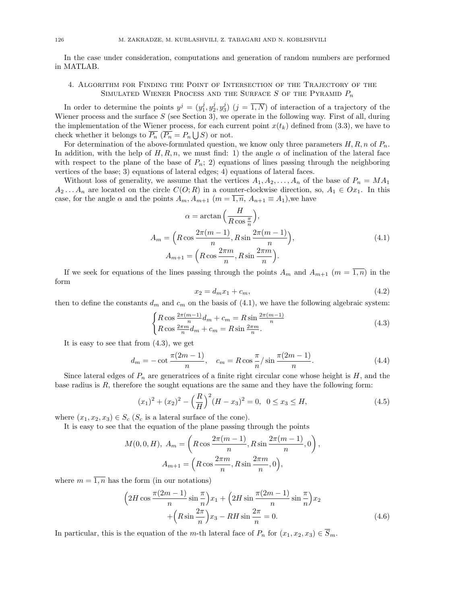In the case under consideration, computations and generation of random numbers are performed in MATLAB.

# 4. Algorithm for Finding the Point of Intersection of the Trajectory of the SIMULATED WIENER PROCESS AND THE SURFACE  $S$  of the Pyramid  $P_n$

In order to determine the points  $y^j = (y_1^j, y_2^j, y_3^j)$   $(j = \overline{1, N})$  of interaction of a trajectory of the Wiener process and the surface  $S$  (see Section 3), we operate in the following way. First of all, during the implementation of the Wiener process, for each current point  $x(t_k)$  defined from (3.3), we have to check whether it belongs to  $\overline{P_n}$   $(\overline{P_n} = P_n \bigcup S)$  or not.

For determination of the above-formulated question, we know only three parameters  $H, R, n$  of  $P_n$ . In addition, with the help of  $H, R, n$ , we must find: 1) the angle  $\alpha$  of inclination of the lateral face with respect to the plane of the base of  $P_n$ ; 2) equations of lines passing through the neighboring vertices of the base; 3) equations of lateral edges; 4) equations of lateral faces.

Without loss of generality, we assume that the vertices  $A_1, A_2, \ldots, A_n$  of the base of  $P_n = MA_1$  $A_2 \text{...} A_n$  are located on the circle  $C(O; R)$  in a counter-clockwise direction, so,  $A_1 \in Ox_1$ . In this case, for the angle  $\alpha$  and the points  $A_m$ ,  $A_{m+1}$   $(m = \overline{1,n}, A_{n+1} \equiv A_1)$ , we have

$$
\alpha = \arctan\left(\frac{H}{R\cos\frac{\pi}{n}}\right),
$$
  
\n
$$
A_m = \left(R\cos\frac{2\pi(m-1)}{n}, R\sin\frac{2\pi(m-1)}{n}\right),
$$
  
\n
$$
A_{m+1} = \left(R\cos\frac{2\pi m}{n}, R\sin\frac{2\pi m}{n}\right).
$$
\n(4.1)

If we seek for equations of the lines passing through the points  $A_m$  and  $A_{m+1}$   $(m = \overline{1,n})$  in the form

$$
x_2 = d_m x_1 + c_m,\t\t(4.2)
$$

,

then to define the constants  $d_m$  and  $c_m$  on the basis of (4.1), we have the following algebraic system:

$$
\begin{cases} R\cos\frac{2\pi(m-1)}{n}d_m + c_m = R\sin\frac{2\pi(m-1)}{n} \\ R\cos\frac{2\pi m}{n}d_m + c_m = R\sin\frac{2\pi m}{n} . \end{cases} \tag{4.3}
$$

It is easy to see that from (4.3), we get

$$
d_m = -\cot \frac{\pi (2m-1)}{n}, \quad c_m = R \cos \frac{\pi}{n} / \sin \frac{\pi (2m-1)}{n}.
$$
 (4.4)

Since lateral edges of  $P_n$  are generatrices of a finite right circular cone whose height is  $H$ , and the base radius is  $R$ , therefore the sought equations are the same and they have the following form:

$$
(x1)2 + (x2)2 - \left(\frac{R}{H}\right)2 (H - x3)2 = 0, 0 \le x3 \le H,
$$
\n(4.5)

where  $(x_1, x_2, x_3) \in S_c$  ( $S_c$  is a lateral surface of the cone).

It is easy to see that the equation of the plane passing through the points

$$
M(0,0,H), A_m = \left(R\cos\frac{2\pi(m-1)}{n}, R\sin\frac{2\pi(m-1)}{n}, 0\right)
$$

$$
A_{m+1} = \left(R\cos\frac{2\pi m}{n}, R\sin\frac{2\pi m}{n}, 0\right),
$$

where  $m = \overline{1, n}$  has the form (in our notations)

$$
\left(2H\cos\frac{\pi(2m-1)}{n}\sin\frac{\pi}{n}\right)x_1 + \left(2H\sin\frac{\pi(2m-1)}{n}\sin\frac{\pi}{n}\right)x_2 + \left(R\sin\frac{2\pi}{n}\right)x_3 - RH\sin\frac{2\pi}{n} = 0.
$$
\n(4.6)

In particular, this is the equation of the m-th lateral face of  $P_n$  for  $(x_1, x_2, x_3) \in \overline{S}_m$ .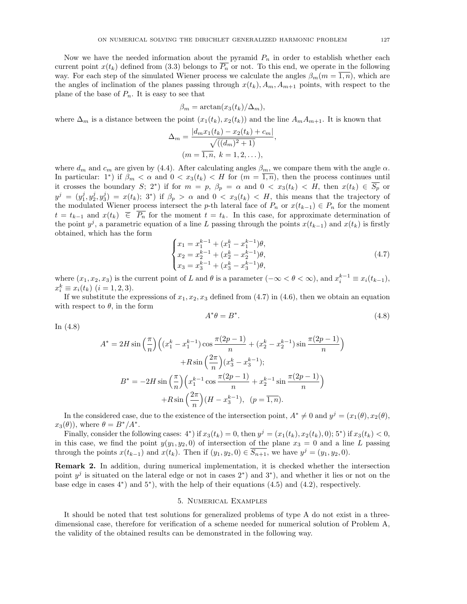Now we have the needed information about the pyramid  $P_n$  in order to establish whether each current point  $x(t_k)$  defined from (3.3) belongs to  $\overline{P_n}$  or not. To this end, we operate in the following way. For each step of the simulated Wiener process we calculate the angles  $\beta_m(m = \overline{1, n})$ , which are the angles of inclination of the planes passing through  $x(t_k)$ ,  $A_m$ ,  $A_{m+1}$  points, with respect to the plane of the base of  $P_n$ . It is easy to see that

$$
\beta_m = \arctan(x_3(t_k)/\Delta_m),
$$

where  $\Delta_m$  is a distance between the point  $(x_1(t_k), x_2(t_k))$  and the line  $A_m A_{m+1}$ . It is known that

$$
\Delta_m = \frac{|d_m x_1(t_k) - x_2(t_k) + c_m|}{\sqrt{((d_m)^2 + 1)}},
$$
  
( $m = \overline{1, n}, k = 1, 2, ...$ ),

where  $d_m$  and  $c_m$  are given by (4.4). After calculating angles  $\beta_m$ , we compare them with the angle  $\alpha$ . In particular: 1<sup>\*</sup>) if  $\beta_m < \alpha$  and  $0 < x_3(t_k) < H$  for  $(m = \overline{1,n})$ , then the process continues until it crosses the boundary S; 2<sup>\*</sup>) if for  $m = p$ ,  $\beta_p = \alpha$  and  $0 < x_3(t_k) < H$ , then  $x(t_k) \in \overline{S_p}$  or  $y^j = (y_1^j, y_2^j, y_3^j) = x(t_k);$  3<sup>\*</sup>) if  $\beta_p > \alpha$  and  $0 < x_3(t_k) < H$ , this means that the trajectory of the modulated Wiener process intersect the p-th lateral face of  $P_n$  or  $x(t_{k-1}) \in P_n$  for the moment  $t = t_{k-1}$  and  $x(t_k) \in \overline{P_n}$  for the moment  $t = t_k$ . In this case, for approximate determination of the point  $y^j$ , a parametric equation of a line L passing through the points  $x(t_{k-1})$  and  $x(t_k)$  is firstly obtained, which has the form

$$
\begin{cases}\nx_1 = x_1^{k-1} + (x_1^k - x_1^{k-1})\theta, \\
x_2 = x_2^{k-1} + (x_2^k - x_2^{k-1})\theta, \\
x_3 = x_3^{k-1} + (x_3^k - x_3^{k-1})\theta,\n\end{cases}
$$
\n(4.7)

where  $(x_1, x_2, x_3)$  is the current point of L and  $\theta$  is a parameter  $(-\infty < \theta < \infty)$ , and  $x_i^{k-1} \equiv x_i(t_{k-1}),$  $x_i^k \equiv x_i(t_k) \ (i = 1, 2, 3).$ 

If we substitute the expressions of  $x_1, x_2, x_3$  defined from (4.7) in (4.6), then we obtain an equation with respect to  $\theta$ , in the form

$$
A^*\theta = B^*.\tag{4.8}
$$

 $\setminus$ 

In (4.8)

$$
A^* = 2H \sin\left(\frac{\pi}{n}\right) \left( (x_1^k - x_1^{k-1}) \cos\frac{\pi(2p-1)}{n} + (x_2^k - x_2^{k-1}) \sin\frac{\pi(2p-1)}{n} + R \sin\left(\frac{2\pi}{n}\right) (x_3^k - x_3^{k-1});
$$
  

$$
B^* = -2H \sin\left(\frac{\pi}{n}\right) \left( x_1^{k-1} \cos\frac{\pi(2p-1)}{n} + x_2^{k-1} \sin\frac{\pi(2p-1)}{n} \right) + R \sin\left(\frac{2\pi}{n}\right) (H - x_3^{k-1}), \quad (p = \overline{1, n}).
$$

In the considered case, due to the existence of the intersection point,  $A^* \neq 0$  and  $y^j = (x_1(\theta), x_2(\theta),$  $x_3(\theta)$ , where  $\theta = B^*/A^*$ .

Finally, consider the following cases:  $4^*$ ) if  $x_3(t_k) = 0$ , then  $y^j = (x_1(t_k), x_2(t_k), 0)$ ; 5<sup>\*</sup>) if  $x_3(t_k) < 0$ , in this case, we find the point  $y(y_1, y_2, 0)$  of intersection of the plane  $x_3 = 0$  and a line L passing through the points  $x(t_{k-1})$  and  $x(t_k)$ . Then if  $(y_1, y_2, 0) \in \overline{S_{n+1}}$ , we have  $y^j = (y_1, y_2, 0)$ .

Remark 2. In addition, during numerical implementation, it is checked whether the intersection point  $y^j$  is situated on the lateral edge or not in cases 2<sup>\*</sup>) and 3<sup>\*</sup>), and whether it lies or not on the base edge in cases  $4^*$ ) and  $5^*$ ), with the help of their equations  $(4.5)$  and  $(4.2)$ , respectively.

# 5. Numerical Examples

It should be noted that test solutions for generalized problems of type A do not exist in a threedimensional case, therefore for verification of a scheme needed for numerical solution of Problem A, the validity of the obtained results can be demonstrated in the following way.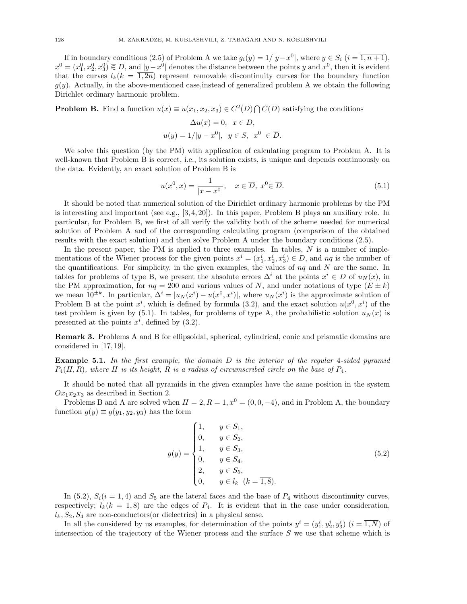If in boundary conditions (2.5) of Problem A we take  $g_i(y) = 1/|y-x^0|$ , where  $y \in S_i$   $(i = \overline{1, n+1})$ ,  $x^0 = (x_1^0, x_2^0, x_3^0) \in \overline{D}$ , and  $|y-x^0|$  denotes the distance between the points y and  $x^0$ , then it is evident that the curves  $l_k(k = \overline{1, 2n})$  represent removable discontinuity curves for the boundary function  $g(y)$ . Actually, in the above-mentioned case, instead of generalized problem A we obtain the following Dirichlet ordinary harmonic problem.

**Problem B.** Find a function  $u(x) \equiv u(x_1, x_2, x_3) \in C^2(D) \cap C(\overline{D})$  satisfying the conditions

$$
\Delta u(x) = 0, \quad x \in D,
$$
  

$$
u(y) = 1/|y - x^0|, \quad y \in S, \quad x^0 \in \overline{D}.
$$

We solve this question (by the PM) with application of calculating program to Problem A. It is well-known that Problem B is correct, i.e., its solution exists, is unique and depends continuously on the data. Evidently, an exact solution of Problem B is

$$
u(x^{0}, x) = \frac{1}{|x - x^{0}|}, \quad x \in \overline{D}, \ x^{0} \overline{\in} \overline{D}.
$$
 (5.1)

It should be noted that numerical solution of the Dirichlet ordinary harmonic problems by the PM is interesting and important (see e.g., [3, 4, 20]). In this paper, Problem B plays an auxiliary role. In particular, for Problem B, we first of all verify the validity both of the scheme needed for numerical solution of Problem A and of the corresponding calculating program (comparison of the obtained results with the exact solution) and then solve Problem A under the boundary conditions (2.5).

In the present paper, the PM is applied to three examples. In tables,  $N$  is a number of implementations of the Wiener process for the given points  $x^i = (x_1^i, x_2^i, x_3^i) \in D$ , and  $nq$  is the number of the quantifications. For simplicity, in the given examples, the values of  $nq$  and N are the same. In tables for problems of type B, we present the absolute errors  $\Delta^i$  at the points  $x^i \in D$  of  $u_N(x)$ , in the PM approximation, for  $nq = 200$  and various values of N, and under notations of type  $(E \pm k)$ we mean  $10^{\pm k}$ . In particular,  $\Delta^i = |u_N(x^i) - u(x^0, x^i)|$ , where  $u_N(x^i)$  is the approximate solution of Problem B at the point  $x^i$ , which is defined by formula (3.2), and the exact solution  $u(x^0, x^i)$  of the test problem is given by (5.1). In tables, for problems of type A, the probabilistic solution  $u<sub>N</sub>(x)$  is presented at the points  $x^i$ , defined by  $(3.2)$ .

Remark 3. Problems A and B for ellipsoidal, spherical, cylindrical, conic and prismatic domains are considered in [17, 19].

**Example 5.1.** In the first example, the domain  $D$  is the interior of the regular 4-sided pyramid  $P_4(H, R)$ , where H is its height, R is a radius of circumscribed circle on the base of  $P_4$ .

It should be noted that all pyramids in the given examples have the same position in the system  $Ox_1x_2x_3$  as described in Section 2.

Problems B and A are solved when  $H = 2, R = 1, x^0 = (0, 0, -4)$ , and in Problem A, the boundary function  $g(y) \equiv g(y_1, y_2, y_3)$  has the form

$$
g(y) = \begin{cases} 1, & y \in S_1, \\ 0, & y \in S_2, \\ 1, & y \in S_3, \\ 0, & y \in S_4, \\ 2, & y \in S_5, \\ 0, & y \in l_k \ (k = \overline{1, 8}). \end{cases}
$$
(5.2)

In (5.2),  $S_i(i = \overline{1, 4})$  and  $S_5$  are the lateral faces and the base of  $P_4$  without discontinuity curves, respectively;  $l_k(k = \overline{1, 8})$  are the edges of  $P_4$ . It is evident that in the case under consideration,  $l_k$ ,  $S_2$ ,  $S_4$  are non-conductors(or dielectrics) in a physical sense.

In all the considered by us examples, for determination of the points  $y^i = (y_1^i, y_2^i, y_3^i)$   $(i = \overline{1, N})$  of intersection of the trajectory of the Wiener process and the surface  $S$  we use that scheme which is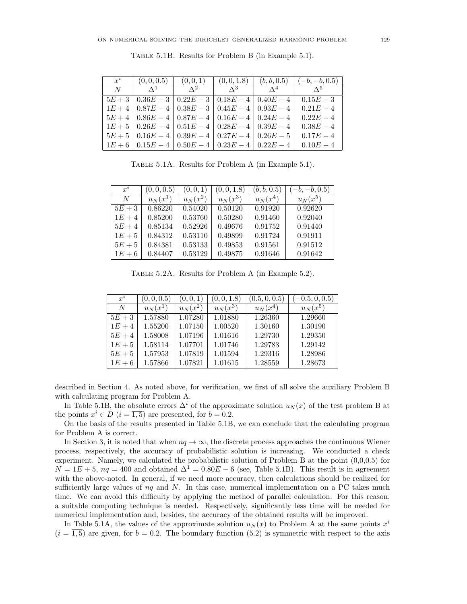| $x^i$ |                                                                  |  | $(0,0,0.5)$ $(0,0,1)$ $(0,0,1.8)$ $(b,b,0.5)$ $(-b,-b,0.5)$ |
|-------|------------------------------------------------------------------|--|-------------------------------------------------------------|
| N     | $\Lambda^1$ $\Lambda^2$ $\Lambda^3$ $\Lambda^4$                  |  | $\Lambda^5$                                                 |
|       | $5E+3$   $0.36E-3$   $0.22E-3$   $0.18E-4$   $0.40E-4$           |  | $0.15E - 3$                                                 |
|       | $1E+4$   $0.87E-4$   $0.38E-3$   $0.45E-4$   $0.93E-4$           |  | $0.21E - 4$                                                 |
|       | $5E+4$   $0.86E-4$   $0.87E-4$   $0.16E-4$   $0.24E-4$           |  | $0.22E - 4$                                                 |
|       | $1E + 5$   $0.26E - 4$   $0.51E - 4$   $0.28E - 4$   $0.39E - 4$ |  | $0.38E - 4$                                                 |
|       | $5E + 5$   $0.16E - 4$   $0.39E - 4$   $0.27E - 4$   $0.26E - 5$ |  | $0.17E - 4$                                                 |
|       | $1E+6$   $0.15E-4$   $0.50E-4$   $0.23E-4$   $0.22E-4$           |  | $0.10E - 4$                                                 |

Table 5.1B. Results for Problem B (in Example 5.1).

Table 5.1A. Results for Problem A (in Example 5.1).

| $x^i$  | (0, 0, 0.5) | (0,0,1)               | (0, 0, 1.8)           | (b, b, 0.5) | $(-b, -b, 0.5)$ |
|--------|-------------|-----------------------|-----------------------|-------------|-----------------|
| N      | $u_N(x^1)$  | $u_N(\overline{x^2})$ | $u_N(\overline{x^3})$ | $u_N(x^4)$  | $u_N(x^5)$      |
| $5E+3$ | 0.86220     | 0.54020               | 0.50120               | 0.91920     | 0.92620         |
| $1E+4$ | 0.85200     | 0.53760               | 0.50280               | 0.91460     | 0.92040         |
| $5E+4$ | 0.85134     | 0.52926               | 0.49676               | 0.91752     | 0.91440         |
| $1E+5$ | 0.84312     | 0.53110               | 0.49899               | 0.91724     | 0.91911         |
| $5E+5$ | 0.84381     | 0.53133               | 0.49853               | 0.91561     | 0.91512         |
| $1E+6$ | 0.84407     | 0.53129               | 0.49875               | 0.91646     | 0.91642         |

Table 5.2A. Results for Problem A (in Example 5.2).

| $x^i$  | (0, 0, 0.5) | (0,0,1)    | (0, 0, 1.8) | (0.5, 0, 0.5) | $-0.5, 0, 0.5)$ |
|--------|-------------|------------|-------------|---------------|-----------------|
| N      | $u_N(x^1)$  | $u_N(x^2)$ | $u_N(x^3)$  | $u_N(x^4)$    | $u_N(x^5)$      |
| $5E+3$ | 1.57880     | 1.07280    | 1.01880     | 1.26360       | 1.29660         |
| $1E+4$ | 1.55200     | 1.07150    | 1.00520     | 1.30160       | 1.30190         |
| $5E+4$ | 1.58008     | 1.07196    | 1.01616     | 1.29730       | 1.29350         |
| $1E+5$ | 1.58114     | 1.07701    | 1.01746     | 1.29783       | 1.29142         |
| $5E+5$ | 1.57953     | 1.07819    | 1.01594     | 1.29316       | 1.28986         |
| $1E+6$ | 1.57866     | 1.07821    | 1.01615     | 1.28559       | 1.28673         |

described in Section 4. As noted above, for verification, we first of all solve the auxiliary Problem B with calculating program for Problem A.

In Table 5.1B, the absolute errors  $\Delta^{i}$  of the approximate solution  $u_N(x)$  of the test problem B at the points  $x^i \in D$   $(i = \overline{1, 5})$  are presented, for  $b = 0.2$ .

On the basis of the results presented in Table 5.1B, we can conclude that the calculating program for Problem A is correct.

In Section 3, it is noted that when  $nq \to \infty$ , the discrete process approaches the continuous Wiener process, respectively, the accuracy of probabilistic solution is increasing. We conducted a check experiment. Namely, we calculated the probabilistic solution of Problem B at the point (0,0,0.5) for  $N = 1E + 5$ ,  $nq = 400$  and obtained  $\Delta^{1} = 0.80E - 6$  (see, Table 5.1B). This result is in agreement with the above-noted. In general, if we need more accuracy, then calculations should be realized for sufficiently large values of  $nq$  and N. In this case, numerical implementation on a PC takes much time. We can avoid this difficulty by applying the method of parallel calculation. For this reason, a suitable computing technique is needed. Respectively, significantly less time will be needed for numerical implementation and, besides, the accuracy of the obtained results will be improved.

In Table 5.1A, the values of the approximate solution  $u_N(x)$  to Problem A at the same points  $x^i$  $(i = \overline{1,5})$  are given, for  $b = 0.2$ . The boundary function (5.2) is symmetric with respect to the axis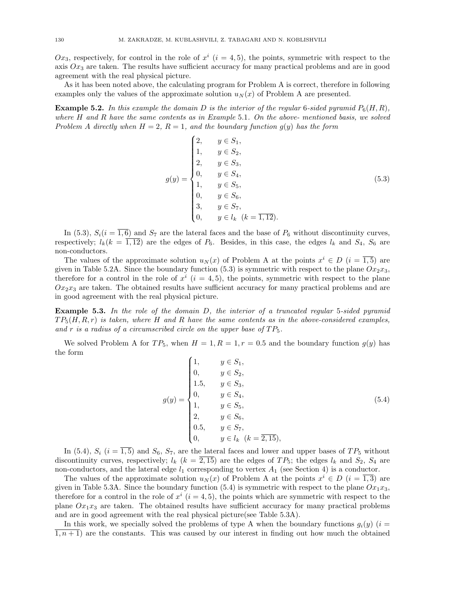$Ox_3$ , respectively, for control in the role of  $x^i$   $(i = 4, 5)$ , the points, symmetric with respect to the axis  $Ox_3$  are taken. The results have sufficient accuracy for many practical problems and are in good agreement with the real physical picture.

As it has been noted above, the calculating program for Problem A is correct, therefore in following examples only the values of the approximate solution  $u_N(x)$  of Problem A are presented.

**Example 5.2.** In this example the domain D is the interior of the regular 6-sided pyramid  $P_6(H, R)$ , where  $H$  and  $R$  have the same contents as in Example 5.1. On the above- mentioned basis, we solved Problem A directly when  $H = 2$ ,  $R = 1$ , and the boundary function  $g(y)$  has the form

$$
g(y) = \begin{cases} 2, & y \in S_1, \\ 1, & y \in S_2, \\ 2, & y \in S_3, \\ 0, & y \in S_4, \\ 1, & y \in S_5, \\ 0, & y \in S_6, \\ 3, & y \in S_7, \\ 0, & y \in l_k \ (k = \overline{1, 12}). \end{cases}
$$
(5.3)

In (5.3),  $S_i(i = \overline{1, 6})$  and  $S_7$  are the lateral faces and the base of  $P_6$  without discontinuity curves, respectively;  $l_k(k = \overline{1,12})$  are the edges of  $P_6$ . Besides, in this case, the edges  $l_k$  and  $S_4$ ,  $S_6$  are non-conductors.

The values of the approximate solution  $u_N(x)$  of Problem A at the points  $x^i \in D$   $(i = \overline{1,5})$  are given in Table 5.2A. Since the boundary function (5.3) is symmetric with respect to the plane  $Ox_2x_3$ , therefore for a control in the role of  $x^i$   $(i = 4, 5)$ , the points, symmetric with respect to the plane  $Ox_2x_3$  are taken. The obtained results have sufficient accuracy for many practical problems and are in good agreement with the real physical picture.

Example 5.3. In the role of the domain D, the interior of a truncated regular 5-sided pyramid  $TP_5(H, R, r)$  is taken, where H and R have the same contents as in the above-considered examples, and r is a radius of a circumscribed circle on the upper base of  $TP_5$ .

We solved Problem A for  $TP_5$ , when  $H = 1, R = 1, r = 0.5$  and the boundary function  $g(y)$  has the form

$$
g(y) = \begin{cases} 1, & y \in S_1, \\ 0, & y \in S_2, \\ 1.5, & y \in S_3, \\ 0, & y \in S_4, \\ 1, & y \in S_5, \\ 2, & y \in S_6, \\ 0.5, & y \in S_7, \\ 0, & y \in l_k \ (k = \overline{2, 15}), \end{cases}
$$
(5.4)

In (5.4),  $S_i$  (i =  $\overline{1,5}$ ) and  $S_6$ ,  $S_7$ , are the lateral faces and lower and upper bases of  $TP_5$  without discontinuity curves, respectively;  $l_k$  ( $k = 2,15$ ) are the edges of TP<sub>5</sub>; the edges  $l_k$  and  $S_2$ ,  $S_4$  are non-conductors, and the lateral edge  $l_1$  corresponding to vertex  $A_1$  (see Section 4) is a conductor.

The values of the approximate solution  $u_N(x)$  of Problem A at the points  $x^i \in D$   $(i = \overline{1,3})$  are given in Table 5.3A. Since the boundary function (5.4) is symmetric with respect to the plane  $Ox_1x_3$ , therefore for a control in the role of  $x^i$   $(i = 4, 5)$ , the points which are symmetric with respect to the plane  $Ox_1x_3$  are taken. The obtained results have sufficient accuracy for many practical problems and are in good agreement with the real physical picture(see Table 5.3A).

In this work, we specially solved the problems of type A when the boundary functions  $g_i(y)$  (i =  $\overline{1,n+1}$  are the constants. This was caused by our interest in finding out how much the obtained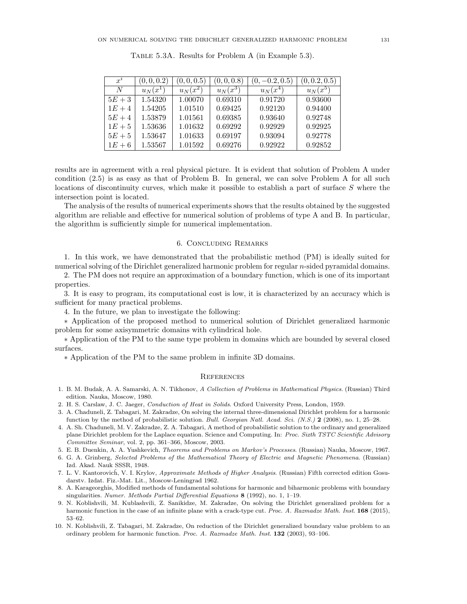| $x^i$  | (0,0,0.2)  | (0,0,0.5)  | (0, 0, 0.8 | $(0, -0.2, 0.5)$ | (0, 0.2, 0.5) |
|--------|------------|------------|------------|------------------|---------------|
| N      | $u_N(x^1)$ | $u_N(x^2)$ | $u_N(x^3)$ | $u_N(x^4)$       | $u_N(x^5)$    |
| $5E+3$ | 1.54320    | 1.00070    | 0.69310    | 0.91720          | 0.93600       |
| $1E+4$ | 1.54205    | 1.01510    | 0.69425    | 0.92120          | 0.94400       |
| $5E+4$ | 1.53879    | 1.01561    | 0.69385    | 0.93640          | 0.92748       |
| $1E+5$ | 1.53636    | 1.01632    | 0.69292    | 0.92929          | 0.92925       |
| $5E+5$ | 1.53647    | 1.01633    | 0.69197    | 0.93094          | 0.92778       |
| $1E+6$ | 1.53567    | 1.01592    | 0.69276    | 0.92922          | 0.92852       |

Table 5.3A. Results for Problem A (in Example 5.3).

results are in agreement with a real physical picture. It is evident that solution of Problem A under condition (2.5) is as easy as that of Problem B. In general, we can solve Problem A for all such locations of discontinuity curves, which make it possible to establish a part of surface S where the intersection point is located.

The analysis of the results of numerical experiments shows that the results obtained by the suggested algorithm are reliable and effective for numerical solution of problems of type A and B. In particular, the algorithm is sufficiently simple for numerical implementation.

## 6. Concluding Remarks

1. In this work, we have demonstrated that the probabilistic method (PM) is ideally suited for numerical solving of the Dirichlet generalized harmonic problem for regular n-sided pyramidal domains.

2. The PM does not require an approximation of a boundary function, which is one of its important properties.

3. It is easy to program, its computational cost is low, it is characterized by an accuracy which is sufficient for many practical problems.

4. In the future, we plan to investigate the following:

∗ Application of the proposed method to numerical solution of Dirichlet generalized harmonic problem for some axisymmetric domains with cylindrical hole.

∗ Application of the PM to the same type problem in domains which are bounded by several closed surfaces.

∗ Application of the PM to the same problem in infinite 3D domains.

#### **REFERENCES**

- 1. B. M. Budak, A. A. Samarski, A. N. Tikhonov, A Collection of Problems in Mathematical Physics. (Russian) Third edition. Nauka, Moscow, 1980.
- 2. H. S. Carslaw, J. C. Jaeger, Conduction of Heat in Solids. Oxford University Press, London, 1959.
- 3. A. Chaduneli, Z. Tabagari, M. Zakradze, On solving the internal three-dimensional Dirichlet problem for a harmonic function by the method of probabilistic solution. Bull. Georgian Natl. Acad. Sci. (N.S.) 2 (2008), no. 1, 25–28.
- 4. A. Sh. Chaduneli, M. V. Zakradze, Z. A. Tabagari, A method of probabilistic solution to the ordinary and generalized plane Dirichlet problem for the Laplace equation. Science and Computing. In: Proc. Sixth TSTC Scientific Advisory Committee Seminar, vol. 2, pp. 361–366, Moscow, 2003.
- 5. E. B. Duenkin, A. A. Yushkevich, Theorems and Problems on Markov's Processes. (Russian) Nauka, Moscow, 1967.
- 6. G. A. Grinberg, Selected Problems of the Mathematical Theory of Electric and Magnetic Phenomena. (Russian) Izd. Akad. Nauk SSSR, 1948.
- 7. L. V. Kantorovich, V. I. Krylov, Approximate Methods of Higher Analysis. (Russian) Fifth corrected edition Gosudarstv. Izdat. Fiz.-Mat. Lit., Moscow-Leningrad 1962.
- 8. A. Karageorghis, Modified methods of fundamental solutions for harmonic and biharmonic problems with boundary singularities. Numer. Methods Partial Differential Equations 8 (1992), no. 1, 1-19.
- 9. N. Koblishvili, M. Kublashvili, Z. Sanikidze, M. Zakradze, On solving the Dirichlet generalized problem for a harmonic function in the case of an infinite plane with a crack-type cut. Proc. A. Razmadze Math. Inst. 168 (2015), 53–62.
- 10. N. Koblishvili, Z. Tabagari, M. Zakradze, On reduction of the Dirichlet generalized boundary value problem to an ordinary problem for harmonic function. Proc. A. Razmadze Math. Inst. 132 (2003), 93–106.